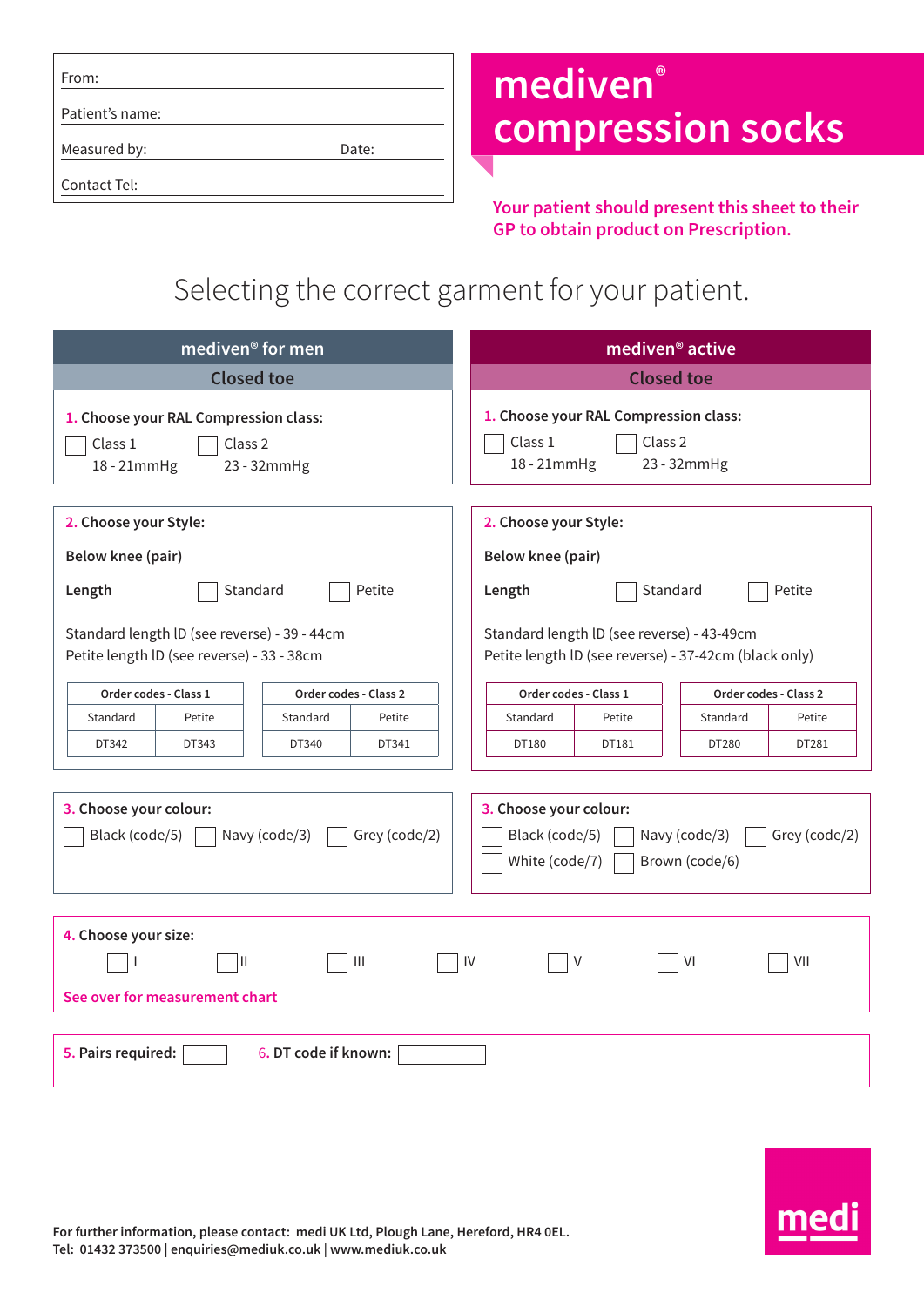From:

Patient's name:

Measured by: Date:

Contact Tel:

## **mediven® compression socks**

**Your patient should present this sheet to their GP to obtain product on Prescription.** 

### Selecting the correct garment for your patient.

| mediven <sup>®</sup> for men                                                                                                                                                                 | mediven <sup>®</sup> active                                                                         |  |  |  |  |
|----------------------------------------------------------------------------------------------------------------------------------------------------------------------------------------------|-----------------------------------------------------------------------------------------------------|--|--|--|--|
| <b>Closed toe</b>                                                                                                                                                                            | <b>Closed toe</b>                                                                                   |  |  |  |  |
| 1. Choose your RAL Compression class:<br>Class 1<br>Class 2<br>18 - 21mmHg<br>23 - 32mmHg                                                                                                    | 1. Choose your RAL Compression class:<br>Class 1<br>Class 2<br>18 - 21mmHg<br>23 - 32mmHg           |  |  |  |  |
| 2. Choose your Style:                                                                                                                                                                        | 2. Choose your Style:                                                                               |  |  |  |  |
| Below knee (pair)                                                                                                                                                                            | Below knee (pair)                                                                                   |  |  |  |  |
| Length<br>Standard<br>Petite                                                                                                                                                                 | Length<br>Standard<br>Petite                                                                        |  |  |  |  |
| Standard length ID (see reverse) - 39 - 44cm<br>Petite length ID (see reverse) - 33 - 38cm                                                                                                   | Standard length ID (see reverse) - 43-49cm<br>Petite length ID (see reverse) - 37-42cm (black only) |  |  |  |  |
| Order codes - Class 2<br>Order codes - Class 1                                                                                                                                               | Order codes - Class 1<br>Order codes - Class 2                                                      |  |  |  |  |
| Standard<br>Petite<br>Standard<br>Petite                                                                                                                                                     | Standard<br>Petite<br>Standard<br>Petite                                                            |  |  |  |  |
| DT341<br>DT342<br>DT343<br>DT340                                                                                                                                                             | DT280<br>DT281<br>DT180<br>DT181                                                                    |  |  |  |  |
| 3. Choose your colour:<br>3. Choose your colour:<br>Grey (code/2)<br>Black (code/5)<br>Navy (code/3)<br>Grey (code/2)<br>Black (code/5)<br>Navy (code/3)<br>Brown (code/6)<br>White (code/7) |                                                                                                     |  |  |  |  |
|                                                                                                                                                                                              |                                                                                                     |  |  |  |  |
| 4. Choose your size:<br>$\mathbf{III}$<br>IV<br>VII<br>Ш<br>V<br>VI<br>See over for measurement chart                                                                                        |                                                                                                     |  |  |  |  |
| 6. DT code if known:<br>5. Pairs required:                                                                                                                                                   |                                                                                                     |  |  |  |  |